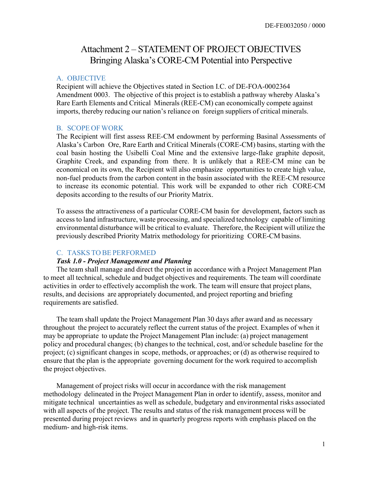# Attachment 2 – STATEMENT OF PROJECT OBJECTIVES Bringing Alaska's CORE-CM Potential into Perspective

#### A. OBJECTIVE

Recipient will achieve the Objectives stated in Section I.C. of DE-FOA-0002364 Amendment 0003. The objective of this project is to establish a pathway whereby Alaska's Rare Earth Elements and Critical Minerals (REE-CM) can economically compete against imports, thereby reducing our nation's reliance on foreign suppliers of critical minerals.

#### B. SCOPE OF WORK

The Recipient will first assess REE-CM endowment by performing Basinal Assessments of Alaska's Carbon Ore, Rare Earth and Critical Minerals (CORE-CM) basins, starting with the coal basin hosting the Usibelli Coal Mine and the extensive large-flake graphite deposit, Graphite Creek, and expanding from there. It is unlikely that a REE-CM mine can be economical on its own, the Recipient will also emphasize opportunities to create high value, non-fuel products from the carbon content in the basin associated with the REE-CM resource to increase its economic potential. This work will be expanded to other rich CORE-CM deposits according to the results of our Priority Matrix.

To assess the attractiveness of a particular CORE-CM basin for development, factors such as access to land infrastructure, waste processing, and specialized technology capable of limiting environmental disturbance will be critical to evaluate. Therefore, the Recipient will utilize the previously described Priority Matrix methodology for prioritizing CORE-CM basins.

### C. TASKS TO BE PERFORMED

#### Task 1.0 - Project Management and Planning

The team shall manage and direct the project in accordance with a Project Management Plan to meet all technical, schedule and budget objectives and requirements. The team will coordinate activities in order to effectively accomplish the work. The team will ensure that project plans, results, and decisions are appropriately documented, and project reporting and briefing requirements are satisfied.

The team shall update the Project Management Plan 30 days after award and as necessary throughout the project to accurately reflect the current status of the project. Examples of when it may be appropriate to update the Project Management Plan include: (a) project management policy and procedural changes; (b) changes to the technical, cost, and/or schedule baseline for the project; (c) significant changes in scope, methods, or approaches; or (d) as otherwise required to ensure that the plan is the appropriate governing document for the work required to accomplish the project objectives.

Management of project risks will occur in accordance with the risk management methodology delineated in the Project Management Plan in order to identify, assess, monitor and mitigate technical uncertainties as well as schedule, budgetary and environmental risks associated with all aspects of the project. The results and status of the risk management process will be presented during project reviews and in quarterly progress reports with emphasis placed on the medium- and high-risk items.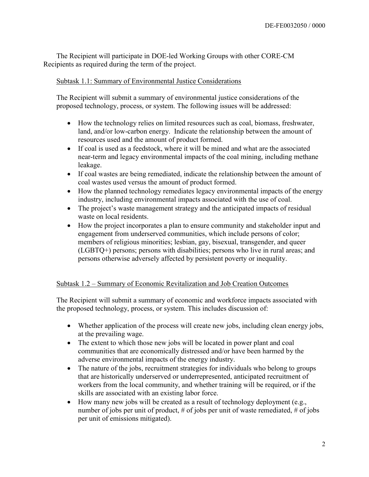The Recipient will participate in DOE-led Working Groups with other CORE-CM Recipients as required during the term of the project.

### Subtask 1.1: Summary of Environmental Justice Considerations

The Recipient will submit a summary of environmental justice considerations of the proposed technology, process, or system. The following issues will be addressed:

- How the technology relies on limited resources such as coal, biomass, freshwater, land, and/or low-carbon energy. Indicate the relationship between the amount of resources used and the amount of product formed.
- If coal is used as a feedstock, where it will be mined and what are the associated near-term and legacy environmental impacts of the coal mining, including methane leakage.
- If coal wastes are being remediated, indicate the relationship between the amount of coal wastes used versus the amount of product formed.
- How the planned technology remediates legacy environmental impacts of the energy industry, including environmental impacts associated with the use of coal.
- The project's waste management strategy and the anticipated impacts of residual waste on local residents.
- How the project incorporates a plan to ensure community and stakeholder input and engagement from underserved communities, which include persons of color; members of religious minorities; lesbian, gay, bisexual, transgender, and queer (LGBTQ+) persons; persons with disabilities; persons who live in rural areas; and persons otherwise adversely affected by persistent poverty or inequality.

### Subtask 1.2 – Summary of Economic Revitalization and Job Creation Outcomes

The Recipient will submit a summary of economic and workforce impacts associated with the proposed technology, process, or system. This includes discussion of:

- Whether application of the process will create new jobs, including clean energy jobs, at the prevailing wage.
- The extent to which those new jobs will be located in power plant and coal communities that are economically distressed and/or have been harmed by the adverse environmental impacts of the energy industry.
- The nature of the jobs, recruitment strategies for individuals who belong to groups that are historically underserved or underrepresented, anticipated recruitment of workers from the local community, and whether training will be required, or if the skills are associated with an existing labor force.
- How many new jobs will be created as a result of technology deployment (e.g., number of jobs per unit of product, # of jobs per unit of waste remediated, # of jobs per unit of emissions mitigated).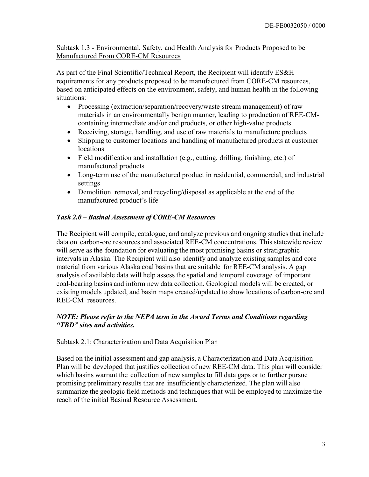Subtask 1.3 - Environmental, Safety, and Health Analysis for Products Proposed to be Manufactured From CORE-CM Resources

As part of the Final Scientific/Technical Report, the Recipient will identify ES&H requirements for any products proposed to be manufactured from CORE-CM resources, based on anticipated effects on the environment, safety, and human health in the following situations:

- Processing (extraction/separation/recovery/waste stream management) of raw materials in an environmentally benign manner, leading to production of REE-CMcontaining intermediate and/or end products, or other high-value products.
- Receiving, storage, handling, and use of raw materials to manufacture products
- Shipping to customer locations and handling of manufactured products at customer locations
- Field modification and installation (e.g., cutting, drilling, finishing, etc.) of manufactured products
- Long-term use of the manufactured product in residential, commercial, and industrial settings
- Demolition. removal, and recycling/disposal as applicable at the end of the manufactured product's life

# Task 2.0 – Basinal Assessment of CORE-CM Resources

The Recipient will compile, catalogue, and analyze previous and ongoing studies that include data on carbon-ore resources and associated REE-CM concentrations. This statewide review will serve as the foundation for evaluating the most promising basins or stratigraphic intervals in Alaska. The Recipient will also identify and analyze existing samples and core material from various Alaska coal basins that are suitable for REE-CM analysis. A gap analysis of available data will help assess the spatial and temporal coverage of important coal-bearing basins and inform new data collection. Geological models will be created, or existing models updated, and basin maps created/updated to show locations of carbon-ore and REE-CM resources.

### NOTE: Please refer to the NEPA term in the Award Terms and Conditions regarding "TBD" sites and activities.

### Subtask 2.1: Characterization and Data Acquisition Plan

Based on the initial assessment and gap analysis, a Characterization and Data Acquisition Plan will be developed that justifies collection of new REE-CM data. This plan will consider which basins warrant the collection of new samples to fill data gaps or to further pursue promising preliminary results that are insufficiently characterized. The plan will also summarize the geologic field methods and techniques that will be employed to maximize the reach of the initial Basinal Resource Assessment.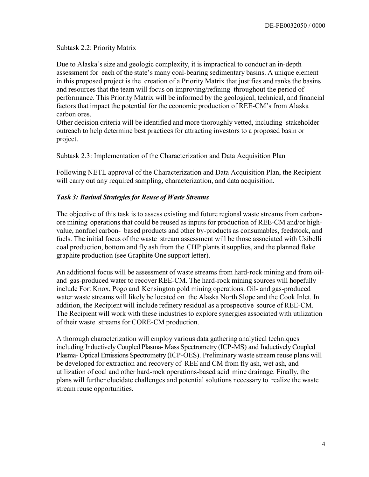### Subtask 2.2: Priority Matrix

Due to Alaska's size and geologic complexity, it is impractical to conduct an in-depth assessment for each of the state's many coal-bearing sedimentary basins. A unique element in this proposed project is the creation of a Priority Matrix that justifies and ranks the basins and resources that the team will focus on improving/refining throughout the period of performance. This Priority Matrix will be informed by the geological, technical, and financial factors that impact the potential for the economic production of REE-CM's from Alaska carbon ores.

Other decision criteria will be identified and more thoroughly vetted, including stakeholder outreach to help determine best practices for attracting investors to a proposed basin or project.

### Subtask 2.3: Implementation of the Characterization and Data Acquisition Plan

Following NETL approval of the Characterization and Data Acquisition Plan, the Recipient will carry out any required sampling, characterization, and data acquisition.

#### Task 3: Basinal Strategies for Reuse of Waste Streams

The objective of this task is to assess existing and future regional waste streams from carbonore mining operations that could be reused as inputs for production of REE-CM and/or highvalue, nonfuel carbon- based products and other by-products as consumables, feedstock, and fuels. The initial focus of the waste stream assessment will be those associated with Usibelli coal production, bottom and fly ash from the CHP plants it supplies, and the planned flake graphite production (see Graphite One support letter).

An additional focus will be assessment of waste streams from hard-rock mining and from oiland gas-produced water to recover REE-CM. The hard-rock mining sources will hopefully include Fort Knox, Pogo and Kensington gold mining operations. Oil- and gas-produced water waste streams will likely be located on the Alaska North Slope and the Cook Inlet. In addition, the Recipient will include refinery residual as a prospective source of REE-CM. The Recipient will work with these industries to explore synergies associated with utilization of their waste streams for CORE-CM production.

A thorough characterization will employ various data gathering analytical techniques including Inductively Coupled Plasma- Mass Spectrometry (ICP-MS) and Inductively Coupled Plasma- Optical Emissions Spectrometry (ICP-OES). Preliminary waste stream reuse plans will be developed for extraction and recovery of REE and CM from fly ash, wet ash, and utilization of coal and other hard-rock operations-based acid mine drainage. Finally, the plans will further elucidate challenges and potential solutions necessary to realize the waste stream reuse opportunities.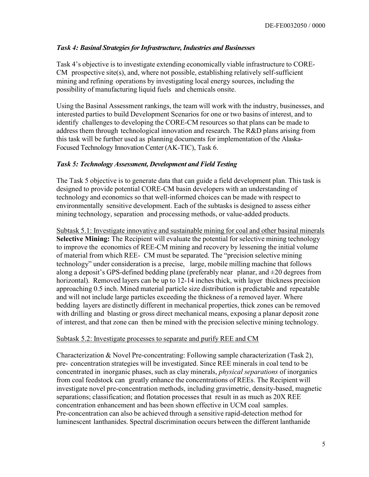### Task 4: Basinal Strategies for Infrastructure, Industries and Businesses

Task 4's objective is to investigate extending economically viable infrastructure to CORE-CM prospective site(s), and, where not possible, establishing relatively self-sufficient mining and refining operations by investigating local energy sources, including the possibility of manufacturing liquid fuels and chemicals onsite.

Using the Basinal Assessment rankings, the team will work with the industry, businesses, and interested parties to build Development Scenarios for one or two basins of interest, and to identify challenges to developing the CORE-CM resources so that plans can be made to address them through technological innovation and research. The R&D plans arising from this task will be further used as planning documents for implementation of the Alaska-Focused Technology Innovation Center (AK-TIC), Task 6.

### Task 5: Technology Assessment, Development and Field Testing

The Task 5 objective is to generate data that can guide a field development plan. This task is designed to provide potential CORE-CM basin developers with an understanding of technology and economics so that well-informed choices can be made with respect to environmentally sensitive development. Each of the subtasks is designed to assess either mining technology, separation and processing methods, or value-added products.

Subtask 5.1: Investigate innovative and sustainable mining for coal and other basinal minerals Selective Mining: The Recipient will evaluate the potential for selective mining technology to improve the economics of REE-CM mining and recovery by lessening the initial volume of material from which REE- CM must be separated. The "precision selective mining technology" under consideration is a precise, large, mobile milling machine that follows along a deposit's GPS-defined bedding plane (preferably near planar, and  $\pm 20$  degrees from horizontal). Removed layers can be up to 12-14 inches thick, with layer thickness precision approaching 0.5 inch. Mined material particle size distribution is predictable and repeatable and will not include large particles exceeding the thickness of a removed layer. Where bedding layers are distinctly different in mechanical properties, thick zones can be removed with drilling and blasting or gross direct mechanical means, exposing a planar deposit zone of interest, and that zone can then be mined with the precision selective mining technology.

### Subtask 5.2: Investigate processes to separate and purify REE and CM

Characterization & Novel Pre-concentrating: Following sample characterization (Task 2), pre- concentration strategies will be investigated. Since REE minerals in coal tend to be concentrated in inorganic phases, such as clay minerals, physical separations of inorganics from coal feedstock can greatly enhance the concentrations of REEs. The Recipient will investigate novel pre-concentration methods, including gravimetric, density-based, magnetic separations; classification; and flotation processes that result in as much as 20X REE concentration enhancement and has been shown effective in UCM coal samples. Pre-concentration can also be achieved through a sensitive rapid-detection method for luminescent lanthanides. Spectral discrimination occurs between the different lanthanide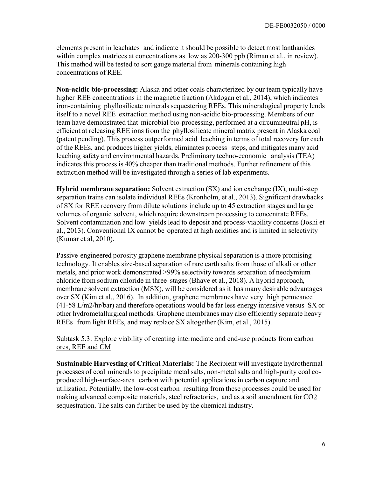elements present in leachates and indicate it should be possible to detect most lanthanides within complex matrices at concentrations as low as 200-300 ppb (Riman et al., in review). This method will be tested to sort gauge material from minerals containing high concentrations of REE.

Non-acidic bio-processing: Alaska and other coals characterized by our team typically have higher REE concentrations in the magnetic fraction (Akdogan et al., 2014), which indicates iron-containing phyllosilicate minerals sequestering REEs. This mineralogical property lends itself to a novel REE extraction method using non-acidic bio-processing. Members of our team have demonstrated that microbial bio-processing, performed at a circumneutral pH, is efficient at releasing REE ions from the phyllosilicate mineral matrix present in Alaska coal (patent pending). This process outperformed acid leaching in terms of total recovery for each of the REEs, and produces higher yields, eliminates process steps, and mitigates many acid leaching safety and environmental hazards. Preliminary techno-economic analysis (TEA) indicates this process is 40% cheaper than traditional methods. Further refinement of this extraction method will be investigated through a series of lab experiments.

Hybrid membrane separation: Solvent extraction (SX) and ion exchange (IX), multi-step separation trains can isolate individual REEs (Kronholm, et al., 2013). Significant drawbacks of SX for REE recovery from dilute solutions include up to 45 extraction stages and large volumes of organic solvent, which require downstream processing to concentrate REEs. Solvent contamination and low yields lead to deposit and process-viability concerns (Joshi et al., 2013). Conventional IX cannot be operated at high acidities and is limited in selectivity (Kumar et al, 2010).

Passive-engineered porosity graphene membrane physical separation is a more promising technology. It enables size-based separation of rare earth salts from those of alkali or other metals, and prior work demonstrated >99% selectivity towards separation of neodymium chloride from sodium chloride in three stages (Bhave et al., 2018). A hybrid approach, membrane solvent extraction (MSX), will be considered as it has many desirable advantages over SX (Kim et al., 2016). In addition, graphene membranes have very high permeance (41-58 L/m2/hr/bar) and therefore operations would be far less energy intensive versus SX or other hydrometallurgical methods. Graphene membranes may also efficiently separate heavy REEs from light REEs, and may replace SX altogether (Kim, et al., 2015).

Subtask 5.3: Explore viability of creating intermediate and end-use products from carbon ores, REE and CM

Sustainable Harvesting of Critical Materials: The Recipient will investigate hydrothermal processes of coal minerals to precipitate metal salts, non-metal salts and high-purity coal coproduced high-surface-area carbon with potential applications in carbon capture and utilization. Potentially, the low-cost carbon resulting from these processes could be used for making advanced composite materials, steel refractories, and as a soil amendment for CO2 sequestration. The salts can further be used by the chemical industry.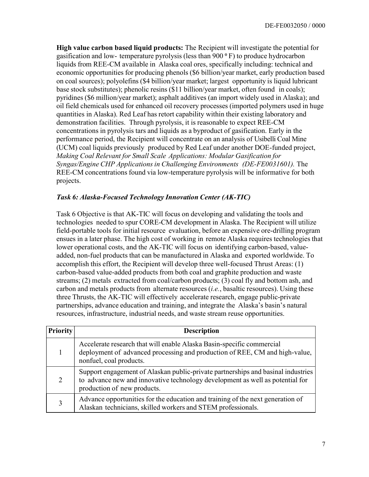High value carbon based liquid products: The Recipient will investigate the potential for gasification and low- temperature pyrolysis (less than  $900\degree F$ ) to produce hydrocarbon liquids from REE-CM available in Alaska coal ores, specifically including: technical and economic opportunities for producing phenols (\$6 billion/year market, early production based on coal sources); polyolefins (\$4 billion/year market; largest opportunity is liquid lubricant base stock substitutes); phenolic resins (\$11 billion/year market, often found in coals); pyridines (\$6 million/year market); asphalt additives (an import widely used in Alaska); and oil field chemicals used for enhanced oil recovery processes (imported polymers used in huge quantities in Alaska). Red Leaf has retort capability within their existing laboratory and demonstration facilities. Through pyrolysis, it is reasonable to expect REE-CM concentrations in pyrolysis tars and liquids as a byproduct of gasification. Early in the performance period, the Recipient will concentrate on an analysis of Usibelli Coal Mine (UCM) coal liquids previously produced by Red Leaf under another DOE-funded project, Making Coal Relevant for Small Scale Applications: Modular Gasification for Syngas/Engine CHP Applications in Challenging Environments (DE-FE0031601). The REE-CM concentrations found via low-temperature pyrolysis will be informative for both projects.

### Task 6: Alaska-Focused Technology Innovation Center (AK-TIC)

Task 6 Objective is that AK-TIC will focus on developing and validating the tools and technologies needed to spur CORE-CM development in Alaska. The Recipient will utilize field-portable tools for initial resource evaluation, before an expensive ore-drilling program ensues in a later phase. The high cost of working in remote Alaska requires technologies that lower operational costs, and the AK-TIC will focus on identifying carbon-based, valueadded, non-fuel products that can be manufactured in Alaska and exported worldwide. To accomplish this effort, the Recipient will develop three well-focused Thrust Areas: (1) carbon-based value-added products from both coal and graphite production and waste streams; (2) metals extracted from coal/carbon products; (3) coal fly and bottom ash, and carbon and metals products from alternate resources  $(i.e.,$  basaltic resources). Using these three Thrusts, the AK-TIC will effectively accelerate research, engage public-private partnerships, advance education and training, and integrate the Alaska's basin's natural resources, infrastructure, industrial needs, and waste stream reuse opportunities.

| <b>Priority</b> | <b>Description</b>                                                                                                                                                                               |  |
|-----------------|--------------------------------------------------------------------------------------------------------------------------------------------------------------------------------------------------|--|
|                 | Accelerate research that will enable Alaska Basin-specific commercial<br>deployment of advanced processing and production of REE, CM and high-value,<br>nonfuel, coal products.                  |  |
|                 | Support engagement of Alaskan public-private partnerships and basinal industries<br>to advance new and innovative technology development as well as potential for<br>production of new products. |  |
|                 | Advance opportunities for the education and training of the next generation of<br>Alaskan technicians, skilled workers and STEM professionals.                                                   |  |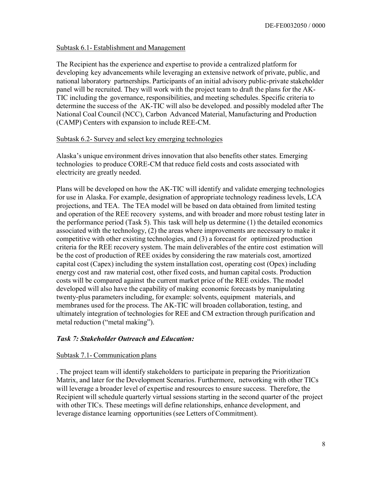#### Subtask 6.1- Establishment and Management

The Recipient has the experience and expertise to provide a centralized platform for developing key advancements while leveraging an extensive network of private, public, and national laboratory partnerships. Participants of an initial advisory public-private stakeholder panel will be recruited. They will work with the project team to draft the plans for the AK-TIC including the governance, responsibilities, and meeting schedules. Specific criteria to determine the success of the AK-TIC will also be developed. and possibly modeled after The National Coal Council (NCC), Carbon Advanced Material, Manufacturing and Production (CAMP) Centers with expansion to include REE-CM.

### Subtask 6.2- Survey and select key emerging technologies

Alaska's unique environment drives innovation that also benefits other states. Emerging technologies to produce CORE-CM that reduce field costs and costs associated with electricity are greatly needed.

Plans will be developed on how the AK-TIC will identify and validate emerging technologies for use in Alaska. For example, designation of appropriate technology readiness levels, LCA projections, and TEA. The TEA model will be based on data obtained from limited testing and operation of the REE recovery systems, and with broader and more robust testing later in the performance period (Task 5). This task will help us determine (1) the detailed economics associated with the technology, (2) the areas where improvements are necessary to make it competitive with other existing technologies, and (3) a forecast for optimized production criteria for the REE recovery system. The main deliverables of the entire cost estimation will be the cost of production of REE oxides by considering the raw materials cost, amortized capital cost (Capex) including the system installation cost, operating cost (Opex) including energy cost and raw material cost, other fixed costs, and human capital costs. Production costs will be compared against the current market price of the REE oxides. The model developed will also have the capability of making economic forecasts by manipulating twenty-plus parameters including, for example: solvents, equipment materials, and membranes used for the process. The AK-TIC will broaden collaboration, testing, and ultimately integration of technologies for REE and CM extraction through purification and metal reduction ("metal making").

### Task 7: Stakeholder Outreach and Education:

#### Subtask 7.1- Communication plans

. The project team will identify stakeholders to participate in preparing the Prioritization Matrix, and later for the Development Scenarios. Furthermore, networking with other TICs will leverage a broader level of expertise and resources to ensure success. Therefore, the Recipient will schedule quarterly virtual sessions starting in the second quarter of the project with other TICs. These meetings will define relationships, enhance development, and leverage distance learning opportunities (see Letters of Commitment).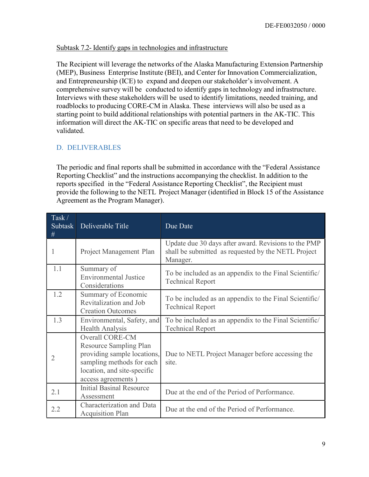### Subtask 7.2- Identify gaps in technologies and infrastructure

The Recipient will leverage the networks of the Alaska Manufacturing Extension Partnership (MEP), Business Enterprise Institute (BEI), and Center for Innovation Commercialization, and Entrepreneurship (ICE) to expand and deepen our stakeholder's involvement. A comprehensive survey will be conducted to identify gaps in technology and infrastructure. Interviews with these stakeholders will be used to identify limitations, needed training, and roadblocks to producing CORE-CM in Alaska. These interviews will also be used as a starting point to build additional relationships with potential partners in the AK-TIC. This information will direct the AK-TIC on specific areas that need to be developed and validated.

# D. DELIVERABLES

The periodic and final reports shall be submitted in accordance with the "Federal Assistance Reporting Checklist" and the instructions accompanying the checklist. In addition to the reports specified in the "Federal Assistance Reporting Checklist", the Recipient must provide the following to the NETL Project Manager (identified in Block 15 of the Assistance Agreement as the Program Manager).

| $\text{Task} /$<br>Subtask<br># | Deliverable Title                                                                                                                                                 | Due Date                                                                                                                |
|---------------------------------|-------------------------------------------------------------------------------------------------------------------------------------------------------------------|-------------------------------------------------------------------------------------------------------------------------|
| 1                               | Project Management Plan                                                                                                                                           | Update due 30 days after award. Revisions to the PMP<br>shall be submitted as requested by the NETL Project<br>Manager. |
| 1.1                             | Summary of<br><b>Environmental Justice</b><br>Considerations                                                                                                      | To be included as an appendix to the Final Scientific/<br><b>Technical Report</b>                                       |
| 1.2                             | Summary of Economic<br>Revitalization and Job<br><b>Creation Outcomes</b>                                                                                         | To be included as an appendix to the Final Scientific/<br><b>Technical Report</b>                                       |
| 1.3                             | Environmental, Safety, and<br>Health Analysis                                                                                                                     | To be included as an appendix to the Final Scientific/<br><b>Technical Report</b>                                       |
| $\overline{2}$                  | <b>Overall CORE-CM</b><br>Resource Sampling Plan<br>providing sample locations,<br>sampling methods for each<br>location, and site-specific<br>access agreements) | Due to NETL Project Manager before accessing the<br>site.                                                               |
| 2.1                             | <b>Initial Basinal Resource</b><br>Assessment                                                                                                                     | Due at the end of the Period of Performance.                                                                            |
| 2.2                             | Characterization and Data<br><b>Acquisition Plan</b>                                                                                                              | Due at the end of the Period of Performance.                                                                            |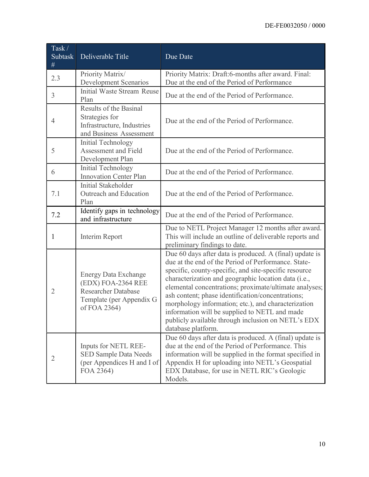| Task/<br>Subtask<br>$\#$ | Deliverable Title                                                                                                           | Due Date                                                                                                                                                                                                                                                                                                                                                                                                                                                                                                                           |
|--------------------------|-----------------------------------------------------------------------------------------------------------------------------|------------------------------------------------------------------------------------------------------------------------------------------------------------------------------------------------------------------------------------------------------------------------------------------------------------------------------------------------------------------------------------------------------------------------------------------------------------------------------------------------------------------------------------|
| 2.3                      | Priority Matrix/<br><b>Development Scenarios</b>                                                                            | Priority Matrix: Draft:6-months after award. Final:<br>Due at the end of the Period of Performance                                                                                                                                                                                                                                                                                                                                                                                                                                 |
| 3                        | <b>Initial Waste Stream Reuse</b><br>Plan                                                                                   | Due at the end of the Period of Performance.                                                                                                                                                                                                                                                                                                                                                                                                                                                                                       |
| 4                        | Results of the Basinal<br>Strategies for<br>Infrastructure, Industries<br>and Business Assessment                           | Due at the end of the Period of Performance.                                                                                                                                                                                                                                                                                                                                                                                                                                                                                       |
| 5                        | <b>Initial Technology</b><br>Assessment and Field<br>Development Plan                                                       | Due at the end of the Period of Performance.                                                                                                                                                                                                                                                                                                                                                                                                                                                                                       |
| 6                        | <b>Initial Technology</b><br><b>Innovation Center Plan</b>                                                                  | Due at the end of the Period of Performance.                                                                                                                                                                                                                                                                                                                                                                                                                                                                                       |
| 7.1                      | <b>Initial Stakeholder</b><br>Outreach and Education<br>Plan                                                                | Due at the end of the Period of Performance.                                                                                                                                                                                                                                                                                                                                                                                                                                                                                       |
| 7.2                      | Identify gaps in technology<br>and infrastructure                                                                           | Due at the end of the Period of Performance.                                                                                                                                                                                                                                                                                                                                                                                                                                                                                       |
| 1                        | Interim Report                                                                                                              | Due to NETL Project Manager 12 months after award.<br>This will include an outline of deliverable reports and<br>preliminary findings to date.                                                                                                                                                                                                                                                                                                                                                                                     |
| 2                        | <b>Energy Data Exchange</b><br>(EDX) FOA-2364 REE<br><b>Researcher Database</b><br>Template (per Appendix G<br>of FOA 2364) | Due 60 days after data is produced. A (final) update is<br>due at the end of the Period of Performance. State-<br>specific, county-specific, and site-specific resource<br>characterization and geographic location data (i.e.,<br>elemental concentrations; proximate/ultimate analyses;<br>ash content; phase identification/concentrations;<br>morphology information; etc.), and characterization<br>information will be supplied to NETL and made<br>publicly available through inclusion on NETL's EDX<br>database platform. |
| 2                        | Inputs for NETL REE-<br><b>SED Sample Data Needs</b><br>(per Appendices H and I of<br>FOA 2364)                             | Due 60 days after data is produced. A (final) update is<br>due at the end of the Period of Performance. This<br>information will be supplied in the format specified in<br>Appendix H for uploading into NETL's Geospatial<br>EDX Database, for use in NETL RIC's Geologic<br>Models.                                                                                                                                                                                                                                              |